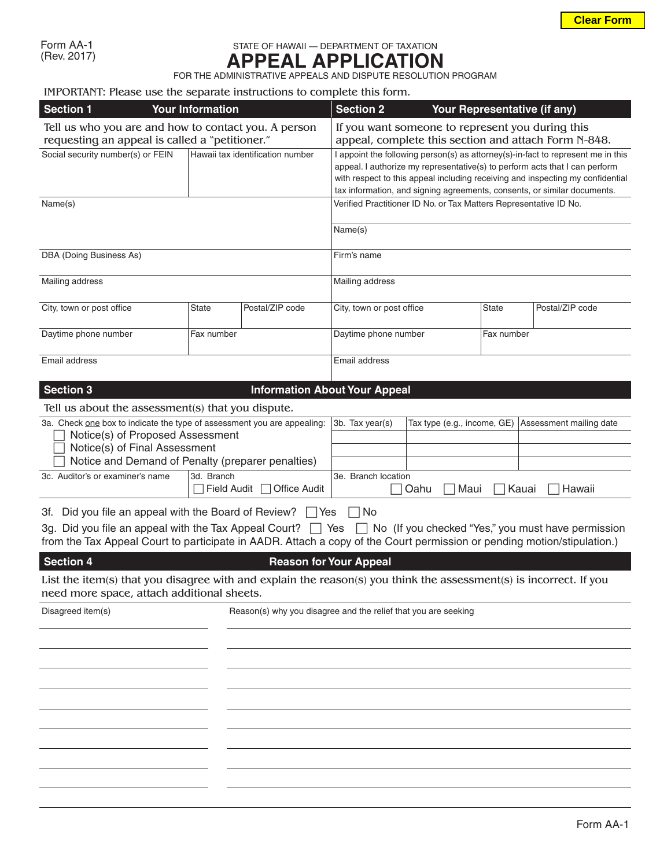## STATE OF HAWAII — DEPARTMENT OF TAXATION **APPEAL APPLICATION**

FOR THE ADMINISTRATIVE APPEALS AND DISPUTE RESOLUTION PROGRAM

## IMPORTANT: Please use the separate instructions to complete this form.

| <b>Section 1</b><br><b>Your Information</b>                                                                                                                                                                                                           | <b>Section 2</b>                                               |                                      |                                                                                                                                                                                                                                                                                                                               | Your Representative (if any) |                                                        |                 |  |
|-------------------------------------------------------------------------------------------------------------------------------------------------------------------------------------------------------------------------------------------------------|----------------------------------------------------------------|--------------------------------------|-------------------------------------------------------------------------------------------------------------------------------------------------------------------------------------------------------------------------------------------------------------------------------------------------------------------------------|------------------------------|--------------------------------------------------------|-----------------|--|
| Tell us who you are and how to contact you. A person<br>requesting an appeal is called a "petitioner."                                                                                                                                                |                                                                |                                      | If you want someone to represent you during this<br>appeal, complete this section and attach Form N-848.                                                                                                                                                                                                                      |                              |                                                        |                 |  |
| Social security number(s) or FEIN                                                                                                                                                                                                                     |                                                                | Hawaii tax identification number     | I appoint the following person(s) as attorney(s)-in-fact to represent me in this<br>appeal. I authorize my representative(s) to perform acts that I can perform<br>with respect to this appeal including receiving and inspecting my confidential<br>tax information, and signing agreements, consents, or similar documents. |                              |                                                        |                 |  |
| Name(s)                                                                                                                                                                                                                                               |                                                                |                                      | Verified Practitioner ID No. or Tax Matters Representative ID No.                                                                                                                                                                                                                                                             |                              |                                                        |                 |  |
|                                                                                                                                                                                                                                                       |                                                                |                                      | Name(s)                                                                                                                                                                                                                                                                                                                       |                              |                                                        |                 |  |
| DBA (Doing Business As)                                                                                                                                                                                                                               |                                                                |                                      | Firm's name                                                                                                                                                                                                                                                                                                                   |                              |                                                        |                 |  |
| Mailing address                                                                                                                                                                                                                                       |                                                                |                                      | Mailing address                                                                                                                                                                                                                                                                                                               |                              |                                                        |                 |  |
| City, town or post office                                                                                                                                                                                                                             | <b>State</b>                                                   | Postal/ZIP code                      | City, town or post office                                                                                                                                                                                                                                                                                                     |                              | <b>State</b>                                           | Postal/ZIP code |  |
| Daytime phone number                                                                                                                                                                                                                                  | Fax number                                                     |                                      | Daytime phone number                                                                                                                                                                                                                                                                                                          |                              | Fax number                                             |                 |  |
| Email address                                                                                                                                                                                                                                         |                                                                |                                      |                                                                                                                                                                                                                                                                                                                               | Email address                |                                                        |                 |  |
| <b>Section 3</b>                                                                                                                                                                                                                                      |                                                                | <b>Information About Your Appeal</b> |                                                                                                                                                                                                                                                                                                                               |                              |                                                        |                 |  |
| Tell us about the assessment(s) that you dispute.                                                                                                                                                                                                     |                                                                |                                      |                                                                                                                                                                                                                                                                                                                               |                              |                                                        |                 |  |
| 3a. Check one box to indicate the type of assessment you are appealing:<br>Notice(s) of Proposed Assessment<br>Notice(s) of Final Assessment<br>Notice and Demand of Penalty (preparer penalties)                                                     |                                                                |                                      | 3b. Tax year(s)                                                                                                                                                                                                                                                                                                               |                              | Tax type (e.g., income, GE)<br>Assessment mailing date |                 |  |
| 3c. Auditor's or examiner's name                                                                                                                                                                                                                      | 3d. Branch<br>Field Audit                                      | <b>Office Audit</b>                  | 3e. Branch location<br>Maui<br>Kauai<br>Hawaii<br>Oahu                                                                                                                                                                                                                                                                        |                              |                                                        |                 |  |
| Did you file an appeal with the Board of Review? $\Box$ Yes<br>3f.                                                                                                                                                                                    |                                                                |                                      | No                                                                                                                                                                                                                                                                                                                            |                              |                                                        |                 |  |
| 3g. Did you file an appeal with the Tax Appeal Court? $\Box$ Yes $\Box$ No (If you checked "Yes," you must have permission<br>from the Tax Appeal Court to participate in AADR. Attach a copy of the Court permission or pending motion/stipulation.) |                                                                |                                      |                                                                                                                                                                                                                                                                                                                               |                              |                                                        |                 |  |
| <b>Section 4</b>                                                                                                                                                                                                                                      |                                                                |                                      | <b>Reason for Your Appeal</b>                                                                                                                                                                                                                                                                                                 |                              |                                                        |                 |  |
| List the item(s) that you disagree with and explain the reason(s) you think the assessment(s) is incorrect. If you<br>need more space, attach additional sheets.                                                                                      |                                                                |                                      |                                                                                                                                                                                                                                                                                                                               |                              |                                                        |                 |  |
| Disagreed item(s)                                                                                                                                                                                                                                     | Reason(s) why you disagree and the relief that you are seeking |                                      |                                                                                                                                                                                                                                                                                                                               |                              |                                                        |                 |  |
|                                                                                                                                                                                                                                                       |                                                                |                                      |                                                                                                                                                                                                                                                                                                                               |                              |                                                        |                 |  |
|                                                                                                                                                                                                                                                       |                                                                |                                      |                                                                                                                                                                                                                                                                                                                               |                              |                                                        |                 |  |
|                                                                                                                                                                                                                                                       |                                                                |                                      |                                                                                                                                                                                                                                                                                                                               |                              |                                                        |                 |  |
|                                                                                                                                                                                                                                                       |                                                                |                                      |                                                                                                                                                                                                                                                                                                                               |                              |                                                        |                 |  |
|                                                                                                                                                                                                                                                       |                                                                |                                      |                                                                                                                                                                                                                                                                                                                               |                              |                                                        |                 |  |
|                                                                                                                                                                                                                                                       |                                                                |                                      |                                                                                                                                                                                                                                                                                                                               |                              |                                                        |                 |  |
|                                                                                                                                                                                                                                                       |                                                                |                                      |                                                                                                                                                                                                                                                                                                                               |                              |                                                        |                 |  |